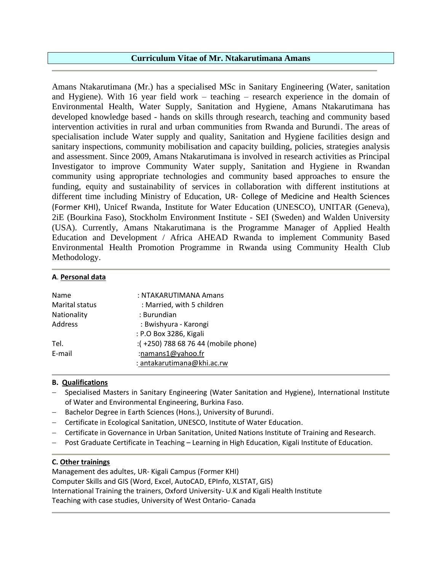# **Curriculum Vitae of Mr. Ntakarutimana Amans**

Amans Ntakarutimana (Mr.) has a specialised MSc in Sanitary Engineering (Water, sanitation and Hygiene). With 16 year field work – teaching – research experience in the domain of Environmental Health, Water Supply, Sanitation and Hygiene, Amans Ntakarutimana has developed knowledge based - hands on skills through research, teaching and community based intervention activities in rural and urban communities from Rwanda and Burundi. The areas of specialisation include Water supply and quality, Sanitation and Hygiene facilities design and sanitary inspections, community mobilisation and capacity building, policies, strategies analysis and assessment. Since 2009, Amans Ntakarutimana is involved in research activities as Principal Investigator to improve Community Water supply, Sanitation and Hygiene in Rwandan community using appropriate technologies and community based approaches to ensure the funding, equity and sustainability of services in collaboration with different institutions at different time including Ministry of Education, UR- College of Medicine and Health Sciences (Former KHI), Unicef Rwanda, Institute for Water Education (UNESCO), UNITAR (Geneva), 2iE (Bourkina Faso), Stockholm Environment Institute - SEI (Sweden) and Walden University (USA). Currently, Amans Ntakarutimana is the Programme Manager of Applied Health Education and Development / Africa AHEAD Rwanda to implement Community Based Environmental Health Promotion Programme in Rwanda using Community Health Club Methodology.

#### **A**. **Personal data**

| Name                  | : NTAKARUTIMANA Amans               |
|-----------------------|-------------------------------------|
| <b>Marital status</b> | : Married, with 5 children          |
| Nationality           | : Burundian                         |
| Address               | : Bwishyura - Karongi               |
|                       | : P.O Box 3286, Kigali              |
| Tel.                  | :(+250) 788 68 76 44 (mobile phone) |
| E-mail                | :namans1@yahoo.fr                   |
|                       | : antakarutimana@khi.ac.rw          |

### **B. Qualifications**

- − Specialised Masters in Sanitary Engineering (Water Sanitation and Hygiene), International Institute of Water and Environmental Engineering, Burkina Faso.
- Bachelor Degree in Earth Sciences (Hons.), University of Burundi.
- − Certificate in Ecological Sanitation, UNESCO, Institute of Water Education.
- − Certificate in Governance in Urban Sanitation, United Nations Institute of Training and Research.
- − Post Graduate Certificate in Teaching Learning in High Education, Kigali Institute of Education.

# **C. Other trainings**

Management des adultes, UR- Kigali Campus (Former KHI) Computer Skills and GIS (Word, Excel, AutoCAD, EPInfo, XLSTAT, GIS) International Training the trainers, Oxford University- U.K and Kigali Health Institute Teaching with case studies, University of West Ontario- Canada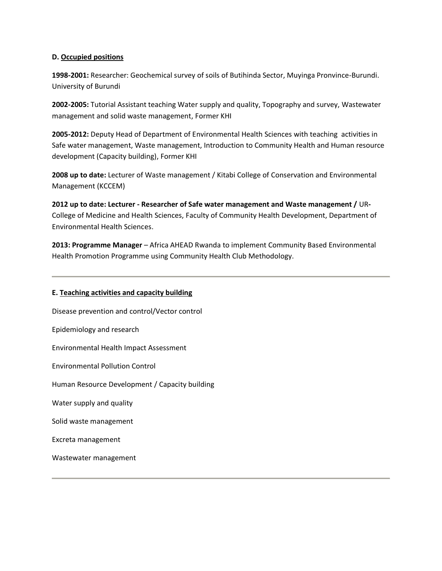### **D. Occupied positions**

**1998-2001:** Researcher: Geochemical survey of soils of Butihinda Sector, Muyinga Pronvince-Burundi. University of Burundi

**2002-2005:** Tutorial Assistant teaching Water supply and quality, Topography and survey, Wastewater management and solid waste management, Former KHI

**2005-2012:** Deputy Head of Department of Environmental Health Sciences with teaching activities in Safe water management, Waste management, Introduction to Community Health and Human resource development (Capacity building), Former KHI

**2008 up to date:** Lecturer of Waste management / Kitabi College of Conservation and Environmental Management (KCCEM)

**2012 up to date: Lecturer - Researcher of Safe water management and Waste management /** UR**-**College of Medicine and Health Sciences, Faculty of Community Health Development, Department of Environmental Health Sciences.

**2013: Programme Manager** – Africa AHEAD Rwanda to implement Community Based Environmental Health Promotion Programme using Community Health Club Methodology.

### **E. Teaching activities and capacity building**

Disease prevention and control/Vector control Epidemiology and research Environmental Health Impact Assessment Environmental Pollution Control Human Resource Development / Capacity building Water supply and quality Solid waste management Excreta management Wastewater management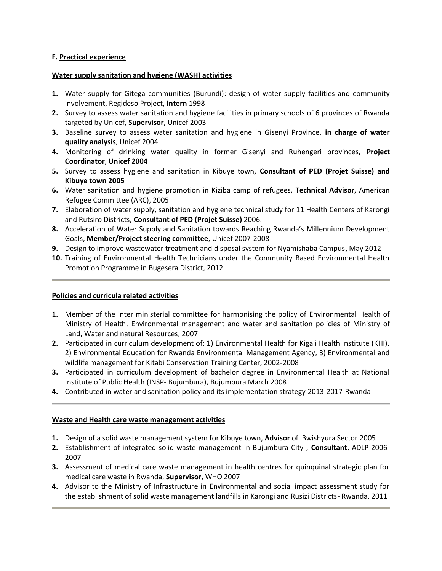### **F. Practical experience**

### **Water supply sanitation and hygiene (WASH) activities**

- **1.** Water supply for Gitega communities (Burundi): design of water supply facilities and community involvement, Regideso Project, **Intern** 1998
- **2.** Survey to assess water sanitation and hygiene facilities in primary schools of 6 provinces of Rwanda targeted by Unicef, **Supervisor**, Unicef 2003
- **3.** Baseline survey to assess water sanitation and hygiene in Gisenyi Province, **in charge of water quality analysis**, Unicef 2004
- **4.** Monitoring of drinking water quality in former Gisenyi and Ruhengeri provinces, **Project Coordinator**, **Unicef 2004**
- **5.** Survey to assess hygiene and sanitation in Kibuye town, **Consultant of PED (Projet Suisse) and Kibuye town 2005**
- **6.** Water sanitation and hygiene promotion in Kiziba camp of refugees, **Technical Advisor**, American Refugee Committee (ARC), 2005
- **7.** Elaboration of water supply, sanitation and hygiene technical study for 11 Health Centers of Karongi and Rutsiro Districts, **Consultant of PED (Projet Suisse)** 2006.
- **8.** Acceleration of Water Supply and Sanitation towards Reaching Rwanda's Millennium Development Goals, **Member/Project steering committee**, Unicef 2007-2008
- **9.** Design to improve wastewater treatment and disposal system for Nyamishaba Campus**,** May 2012
- **10.** Training of Environmental Health Technicians under the Community Based Environmental Health Promotion Programme in Bugesera District, 2012

# **Policies and curricula related activities**

- **1.** Member of the inter ministerial committee for harmonising the policy of Environmental Health of Ministry of Health, Environmental management and water and sanitation policies of Ministry of Land, Water and natural Resources, 2007
- **2.** Participated in curriculum development of: 1) Environmental Health for Kigali Health Institute (KHI), 2) Environmental Education for Rwanda Environmental Management Agency, 3) Environmental and wildlife management for Kitabi Conservation Training Center, 2002-2008
- **3.** Participated in curriculum development of bachelor degree in Environmental Health at National Institute of Public Health (INSP- Bujumbura), Bujumbura March 2008
- **4.** Contributed in water and sanitation policy and its implementation strategy 2013-2017-Rwanda

# **Waste and Health care waste management activities**

- **1.** Design of a solid waste management system for Kibuye town, **Advisor** of Bwishyura Sector 2005
- **2.** Establishment of integrated solid waste management in Bujumbura City , **Consultant**, ADLP 2006- 2007
- **3.** Assessment of medical care waste management in health centres for quinquinal strategic plan for medical care waste in Rwanda, **Supervisor**, WHO 2007
- **4.** Advisor to the Ministry of Infrastructure in Environmental and social impact assessment study for the establishment of solid waste management landfills in Karongi and Rusizi Districts- Rwanda, 2011